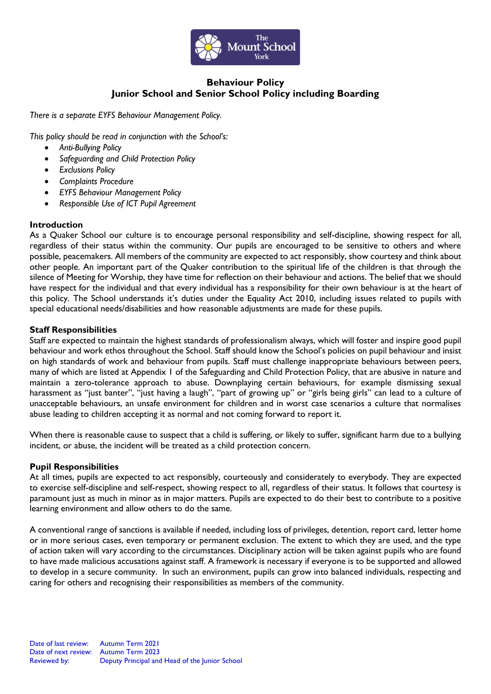

# **Behaviour Policy Junior School and Senior School Policy including Boarding**

*There is a separate EYFS Behaviour Management Policy.* 

*This policy should be read in conjunction with the School's:*

- *Anti-Bullying Policy*
- *Safeguarding and Child Protection Policy*
- *Exclusions Policy*
- *Complaints Procedure*
- *EYFS Behaviour Management Policy*
- *Responsible Use of ICT Pupil Agreement*

## **Introduction**

As a Quaker School our culture is to encourage personal responsibility and self-discipline, showing respect for all, regardless of their status within the community. Our pupils are encouraged to be sensitive to others and where possible, peacemakers. All members of the community are expected to act responsibly, show courtesy and think about other people. An important part of the Quaker contribution to the spiritual life of the children is that through the silence of Meeting for Worship, they have time for reflection on their behaviour and actions. The belief that we should have respect for the individual and that every individual has a responsibility for their own behaviour is at the heart of this policy. The School understands it's duties under the Equality Act 2010, including issues related to pupils with special educational needs/disabilities and how reasonable adjustments are made for these pupils.

## **Staff Responsibilities**

Staff are expected to maintain the highest standards of professionalism always, which will foster and inspire good pupil behaviour and work ethos throughout the School. Staff should know the School's policies on pupil behaviour and insist on high standards of work and behaviour from pupils. Staff must challenge inappropriate behaviours between peers, many of which are listed at Appendix 1 of the Safeguarding and Child Protection Policy, that are abusive in nature and maintain a zero-tolerance approach to abuse. Downplaying certain behaviours, for example dismissing sexual harassment as "just banter", "just having a laugh", "part of growing up" or "girls being girls" can lead to a culture of unacceptable behaviours, an unsafe environment for children and in worst case scenarios a culture that normalises abuse leading to children accepting it as normal and not coming forward to report it.

When there is reasonable cause to suspect that a child is suffering, or likely to suffer, significant harm due to a bullying incident, or abuse, the incident will be treated as a child protection concern.

#### **Pupil Responsibilities**

At all times, pupils are expected to act responsibly, courteously and considerately to everybody. They are expected to exercise self-discipline and self-respect, showing respect to all, regardless of their status. It follows that courtesy is paramount just as much in minor as in major matters. Pupils are expected to do their best to contribute to a positive learning environment and allow others to do the same.

A conventional range of sanctions is available if needed, including loss of privileges, detention, report card, letter home or in more serious cases, even temporary or permanent exclusion. The extent to which they are used, and the type of action taken will vary according to the circumstances. Disciplinary action will be taken against pupils who are found to have made malicious accusations against staff. A framework is necessary if everyone is to be supported and allowed to develop in a secure community. In such an environment, pupils can grow into balanced individuals, respecting and caring for others and recognising their responsibilities as members of the community.

Date of last review: Autumn Term 2021 Date of next review: Autumn Term 2023 Reviewed by: Deputy Principal and Head of the Junior School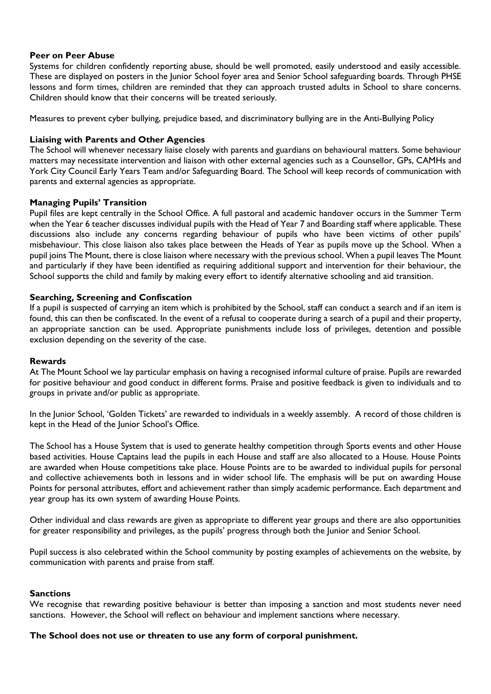## **Peer on Peer Abuse**

Systems for children confidently reporting abuse, should be well promoted, easily understood and easily accessible. These are displayed on posters in the Junior School foyer area and Senior School safeguarding boards. Through PHSE lessons and form times, children are reminded that they can approach trusted adults in School to share concerns. Children should know that their concerns will be treated seriously.

Measures to prevent cyber bullying, prejudice based, and discriminatory bullying are in the Anti-Bullying Policy

## **Liaising with Parents and Other Agencies**

The School will whenever necessary liaise closely with parents and guardians on behavioural matters. Some behaviour matters may necessitate intervention and liaison with other external agencies such as a Counsellor, GPs, CAMHs and York City Council Early Years Team and/or Safeguarding Board. The School will keep records of communication with parents and external agencies as appropriate.

#### **Managing Pupils' Transition**

Pupil files are kept centrally in the School Office. A full pastoral and academic handover occurs in the Summer Term when the Year 6 teacher discusses individual pupils with the Head of Year 7 and Boarding staff where applicable. These discussions also include any concerns regarding behaviour of pupils who have been victims of other pupils' misbehaviour. This close liaison also takes place between the Heads of Year as pupils move up the School. When a pupil joins The Mount, there is close liaison where necessary with the previous school. When a pupil leaves The Mount and particularly if they have been identified as requiring additional support and intervention for their behaviour, the School supports the child and family by making every effort to identify alternative schooling and aid transition.

## **Searching, Screening and Confiscation**

If a pupil is suspected of carrying an item which is prohibited by the School, staff can conduct a search and if an item is found, this can then be confiscated. In the event of a refusal to cooperate during a search of a pupil and their property, an appropriate sanction can be used. Appropriate punishments include loss of privileges, detention and possible exclusion depending on the severity of the case.

#### **Rewards**

At The Mount School we lay particular emphasis on having a recognised informal culture of praise. Pupils are rewarded for positive behaviour and good conduct in different forms. Praise and positive feedback is given to individuals and to groups in private and/or public as appropriate.

In the Junior School, 'Golden Tickets' are rewarded to individuals in a weekly assembly. A record of those children is kept in the Head of the Junior School's Office.

The School has a House System that is used to generate healthy competition through Sports events and other House based activities. House Captains lead the pupils in each House and staff are also allocated to a House. House Points are awarded when House competitions take place. House Points are to be awarded to individual pupils for personal and collective achievements both in lessons and in wider school life. The emphasis will be put on awarding House Points for personal attributes, effort and achievement rather than simply academic performance. Each department and year group has its own system of awarding House Points.

Other individual and class rewards are given as appropriate to different year groups and there are also opportunities for greater responsibility and privileges, as the pupils' progress through both the Junior and Senior School.

Pupil success is also celebrated within the School community by posting examples of achievements on the website, by communication with parents and praise from staff.

#### **Sanctions**

We recognise that rewarding positive behaviour is better than imposing a sanction and most students never need sanctions. However, the School will reflect on behaviour and implement sanctions where necessary.

#### **The School does not use or threaten to use any form of corporal punishment.**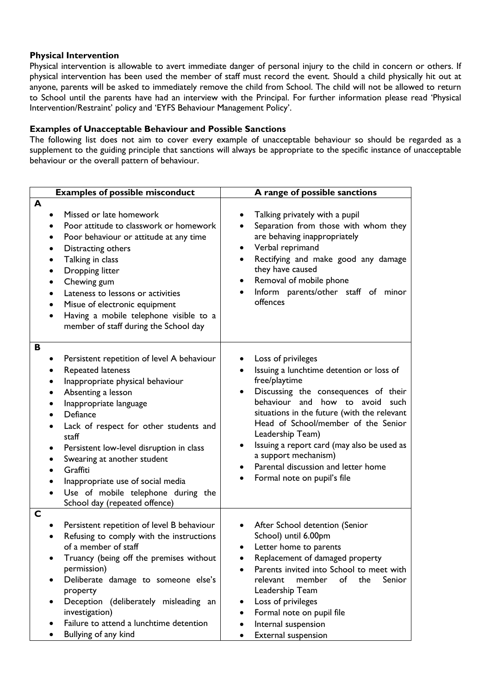## **Physical Intervention**

Physical intervention is allowable to avert immediate danger of personal injury to the child in concern or others. If physical intervention has been used the member of staff must record the event. Should a child physically hit out at anyone, parents will be asked to immediately remove the child from School. The child will not be allowed to return to School until the parents have had an interview with the Principal. For further information please read 'Physical Intervention/Restraint' policy and 'EYFS Behaviour Management Policy'.

## **Examples of Unacceptable Behaviour and Possible Sanctions**

The following list does not aim to cover every example of unacceptable behaviour so should be regarded as a supplement to the guiding principle that sanctions will always be appropriate to the specific instance of unacceptable behaviour or the overall pattern of behaviour.

| <b>Examples of possible misconduct</b>                                                                                                                                                                                                                                                                                                                                                                                     | A range of possible sanctions                                                                                                                                                                                                                                                                                                                                                                                                              |  |
|----------------------------------------------------------------------------------------------------------------------------------------------------------------------------------------------------------------------------------------------------------------------------------------------------------------------------------------------------------------------------------------------------------------------------|--------------------------------------------------------------------------------------------------------------------------------------------------------------------------------------------------------------------------------------------------------------------------------------------------------------------------------------------------------------------------------------------------------------------------------------------|--|
| A<br>Missed or late homework<br>Poor attitude to classwork or homework<br>Poor behaviour or attitude at any time<br>٠<br>Distracting others<br>Talking in class<br>Dropping litter<br>Chewing gum<br>Lateness to lessons or activities<br>Misue of electronic equipment<br>Having a mobile telephone visible to a<br>member of staff during the School day                                                                 | Talking privately with a pupil<br>Separation from those with whom they<br>are behaving inappropriately<br>Verbal reprimand<br>$\bullet$<br>Rectifying and make good any damage<br>they have caused<br>Removal of mobile phone<br>٠<br>Inform parents/other staff of<br>minor<br>offences                                                                                                                                                   |  |
| B<br>Persistent repetition of level A behaviour<br>Repeated lateness<br>Inappropriate physical behaviour<br>Absenting a lesson<br>Inappropriate language<br>Defiance<br>Lack of respect for other students and<br>staff<br>Persistent low-level disruption in class<br>Swearing at another student<br>Graffiti<br>Inappropriate use of social media<br>Use of mobile telephone during the<br>School day (repeated offence) | Loss of privileges<br>Issuing a lunchtime detention or loss of<br>free/playtime<br>Discussing the consequences of their<br>$\bullet$<br>behaviour and how to avoid such<br>situations in the future (with the relevant<br>Head of School/member of the Senior<br>Leadership Team)<br>Issuing a report card (may also be used as<br>$\bullet$<br>a support mechanism)<br>Parental discussion and letter home<br>Formal note on pupil's file |  |
| $\mathsf{C}$<br>Persistent repetition of level B behaviour<br>Refusing to comply with the instructions<br>of a member of staff<br>Truancy (being off the premises without<br>permission)<br>Deliberate damage to someone else's<br>property<br>Deception (deliberately misleading an<br>$\bullet$<br>investigation)<br>Failure to attend a lunchtime detention<br>Bullying of any kind                                     | After School detention (Senior<br>$\bullet$<br>School) until 6.00pm<br>Letter home to parents<br>Replacement of damaged property<br>Parents invited into School to meet with<br>relevant<br>member<br>of<br>the<br>Senior<br>Leadership Team<br>Loss of privileges<br>٠<br>Formal note on pupil file<br>٠<br>Internal suspension<br>$\bullet$<br>External suspension                                                                       |  |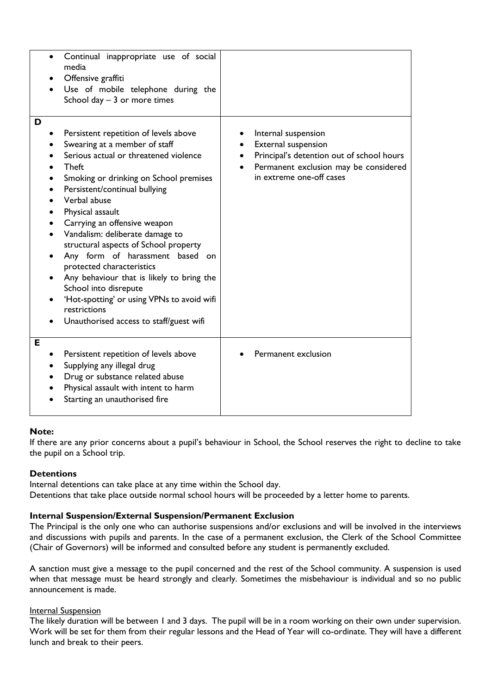| $\bullet$                   | Continual inappropriate use of social<br>media<br>Offensive graffiti<br>Use of mobile telephone during the<br>School day $-3$ or more times                                                                                                                                                                                                                                                                                                                                                                                                                                                               |                                                                                                                                                              |
|-----------------------------|-----------------------------------------------------------------------------------------------------------------------------------------------------------------------------------------------------------------------------------------------------------------------------------------------------------------------------------------------------------------------------------------------------------------------------------------------------------------------------------------------------------------------------------------------------------------------------------------------------------|--------------------------------------------------------------------------------------------------------------------------------------------------------------|
| D<br>$\bullet$<br>$\bullet$ | Persistent repetition of levels above<br>Swearing at a member of staff<br>Serious actual or threatened violence<br><b>Theft</b><br>Smoking or drinking on School premises<br>Persistent/continual bullying<br>Verbal abuse<br>Physical assault<br>Carrying an offensive weapon<br>Vandalism: deliberate damage to<br>structural aspects of School property<br>Any form of harassment based on<br>protected characteristics<br>Any behaviour that is likely to bring the<br>School into disrepute<br>'Hot-spotting' or using VPNs to avoid wifi<br>restrictions<br>Unauthorised access to staff/guest wifi | Internal suspension<br>External suspension<br>Principal's detention out of school hours<br>Permanent exclusion may be considered<br>in extreme one-off cases |
| E                           | Persistent repetition of levels above<br>Supplying any illegal drug<br>Drug or substance related abuse<br>Physical assault with intent to harm<br>Starting an unauthorised fire                                                                                                                                                                                                                                                                                                                                                                                                                           | Permanent exclusion                                                                                                                                          |

## **Note:**

If there are any prior concerns about a pupil's behaviour in School, the School reserves the right to decline to take the pupil on a School trip.

## **Detentions**

Internal detentions can take place at any time within the School day. Detentions that take place outside normal school hours will be proceeded by a letter home to parents.

### **Internal Suspension/External Suspension/Permanent Exclusion**

The Principal is the only one who can authorise suspensions and/or exclusions and will be involved in the interviews and discussions with pupils and parents. In the case of a permanent exclusion, the Clerk of the School Committee (Chair of Governors) will be informed and consulted before any student is permanently excluded.

A sanction must give a message to the pupil concerned and the rest of the School community. A suspension is used when that message must be heard strongly and clearly. Sometimes the misbehaviour is individual and so no public announcement is made.

#### Internal Suspension

The likely duration will be between 1 and 3 days. The pupil will be in a room working on their own under supervision. Work will be set for them from their regular lessons and the Head of Year will co-ordinate. They will have a different lunch and break to their peers.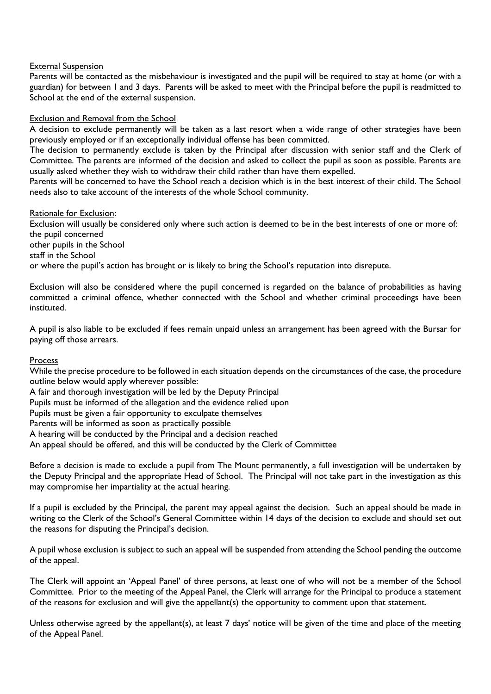## **External Suspension**

Parents will be contacted as the misbehaviour is investigated and the pupil will be required to stay at home (or with a guardian) for between 1 and 3 days. Parents will be asked to meet with the Principal before the pupil is readmitted to School at the end of the external suspension.

## Exclusion and Removal from the School

A decision to exclude permanently will be taken as a last resort when a wide range of other strategies have been previously employed or if an exceptionally individual offense has been committed.

The decision to permanently exclude is taken by the Principal after discussion with senior staff and the Clerk of Committee. The parents are informed of the decision and asked to collect the pupil as soon as possible. Parents are usually asked whether they wish to withdraw their child rather than have them expelled.

Parents will be concerned to have the School reach a decision which is in the best interest of their child. The School needs also to take account of the interests of the whole School community.

#### Rationale for Exclusion:

Exclusion will usually be considered only where such action is deemed to be in the best interests of one or more of: the pupil concerned other pupils in the School staff in the School or where the pupil's action has brought or is likely to bring the School's reputation into disrepute.

Exclusion will also be considered where the pupil concerned is regarded on the balance of probabilities as having committed a criminal offence, whether connected with the School and whether criminal proceedings have been instituted.

A pupil is also liable to be excluded if fees remain unpaid unless an arrangement has been agreed with the Bursar for paying off those arrears.

#### **Process**

While the precise procedure to be followed in each situation depends on the circumstances of the case, the procedure outline below would apply wherever possible:

A fair and thorough investigation will be led by the Deputy Principal

Pupils must be informed of the allegation and the evidence relied upon

Pupils must be given a fair opportunity to exculpate themselves

Parents will be informed as soon as practically possible

A hearing will be conducted by the Principal and a decision reached

An appeal should be offered, and this will be conducted by the Clerk of Committee

Before a decision is made to exclude a pupil from The Mount permanently, a full investigation will be undertaken by the Deputy Principal and the appropriate Head of School. The Principal will not take part in the investigation as this may compromise her impartiality at the actual hearing.

If a pupil is excluded by the Principal, the parent may appeal against the decision. Such an appeal should be made in writing to the Clerk of the School's General Committee within 14 days of the decision to exclude and should set out the reasons for disputing the Principal's decision.

A pupil whose exclusion is subject to such an appeal will be suspended from attending the School pending the outcome of the appeal.

The Clerk will appoint an 'Appeal Panel' of three persons, at least one of who will not be a member of the School Committee. Prior to the meeting of the Appeal Panel, the Clerk will arrange for the Principal to produce a statement of the reasons for exclusion and will give the appellant(s) the opportunity to comment upon that statement.

Unless otherwise agreed by the appellant(s), at least 7 days' notice will be given of the time and place of the meeting of the Appeal Panel.